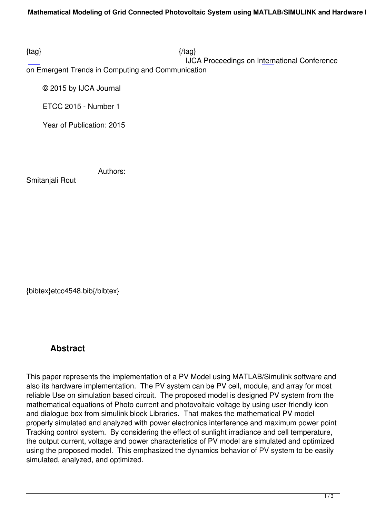$\{tag\}$ 

IJCA Proceedings on International Conference

on Emergent Trends in Computing and Communication

© 2015 by IJCA Journal

ETCC 2015 - Number 1

Year of Publication: 2015

Authors:

Smitanjali Rout

{bibtex}etcc4548.bib{/bibtex}

## **Abstract**

This paper represents the implementation of a PV Model using MATLAB/Simulink software and also its hardware implementation. The PV system can be PV cell, module, and array for most reliable Use on simulation based circuit. The proposed model is designed PV system from the mathematical equations of Photo current and photovoltaic voltage by using user-friendly icon and dialogue box from simulink block Libraries. That makes the mathematical PV model properly simulated and analyzed with power electronics interference and maximum power point Tracking control system. By considering the effect of sunlight irradiance and cell temperature, the output current, voltage and power characteristics of PV model are simulated and optimized using the proposed model. This emphasized the dynamics behavior of PV system to be easily simulated, analyzed, and optimized.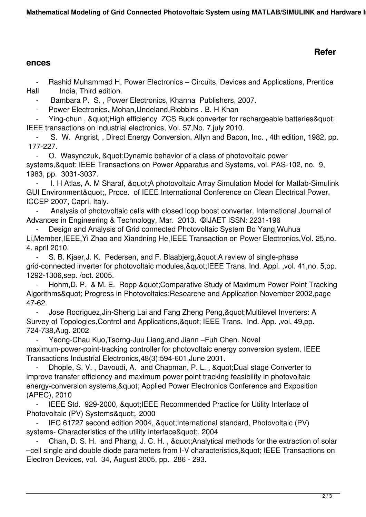## **Refer**

## **ences**

Rashid Muhammad H, Power Electronics – Circuits, Devices and Applications, Prentice Hall India, Third edition.

Bambara P. S., Power Electronics, Khanna Publishers, 2007.

Power Electronics, Mohan, Undeland, Riobbins . B. H Khan

Ying-chun, & quot; High efficiency ZCS Buck converter for rechargeable batteries & quot; IEEE transactions on industrial electronics, Vol. 57,No. 7,july 2010.

 - S. W. Angrist, , Direct Energy Conversion, Allyn and Bacon, Inc. , 4th edition, 1982, pp. 177-227.

O. Wasynczuk, " Dynamic behavior of a class of photovoltaic power systems, & quot; IEEE Transactions on Power Apparatus and Systems, vol. PAS-102, no. 9, 1983, pp. 3031-3037.

I. H Atlas, A. M Sharaf, & quot; A photovoltaic Array Simulation Model for Matlab-Simulink GUI Environment", Proce. of IEEE International Conference on Clean Electrical Power, ICCEP 2007, Capri, Italy.

 - Analysis of photovoltaic cells with closed loop boost converter, International Journal of Advances in Engineering & Technology, Mar. 2013. ©IJAET ISSN: 2231-196

Design and Analysis of Grid connected Photovoltaic System Bo Yang, Wuhua Li,Member,IEEE,Yi Zhao and Xiandning He,IEEE Transaction on Power Electronics,Vol. 25,no. 4. april 2010.

- S. B. Kjaer, J. K. Pedersen, and F. Blaabjerg, & quot; A review of single-phase grid-connected inverter for photovoltaic modules, & quot; IEEE Trans. Ind. Appl. , vol. 41, no. 5, pp. 1292-1306,sep. /oct. 2005.

Hohm, D. P. & M. E. Ropp & quot; Comparative Study of Maximum Power Point Tracking Algorithms" Progress in Photovoltaics:Researche and Application November 2002,page 47-62.

- Jose Rodriguez, Jin-Sheng Lai and Fang Zheng Peng, & quot: Multilevel Inverters: A Survey of Topologies, Control and Applications, & quot; IEEE Trans. Ind. App. , vol. 49, pp. 724-738,Aug. 2002

Yeong-Chau Kuo, Tsorng-Juu Liang, and Jiann – Fuh Chen. Novel maximum-power-point-tracking controller for photovoltaic energy conversion system. IEEE Transactions Industrial Electronics,48(3):594-601,June 2001.

Dhople, S. V., Davoudi, A. and Chapman, P. L., " Dual stage Converter to improve transfer efficiency and maximum power point tracking feasibility in photovoltaic energy-conversion systems, & quot; Applied Power Electronics Conference and Exposition (APEC), 2010

IEEE Std. 929-2000, " IEEE Recommended Practice for Utility Interface of Photovoltaic (PV) Systems", 2000

IEC 61727 second edition 2004, " International standard, Photovoltaic (PV) systems- Characteristics of the utility interface", 2004

Chan, D. S. H. and Phang, J. C. H., & quot; Analytical methods for the extraction of solar –cell single and double diode parameters from I-V characteristics, & quot; IEEE Transactions on Electron Devices, vol. 34, August 2005, pp. 286 - 293.